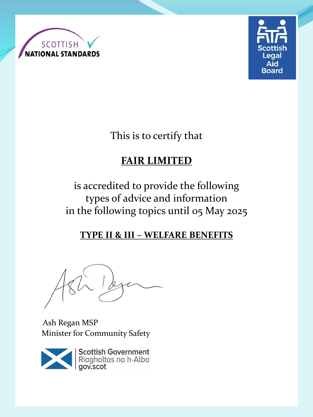



This is to certify that

# **FAIR LIMITED**

is accredited to provide the following types of advice and information in the following topics until 05 May 2025

### **TYPE II & III – WELFARE BENEFITS**

Ash Regan MSP Minister for Community Safety



Scottish Government<br>Riaghaltas na h-Alba<br>gov.scot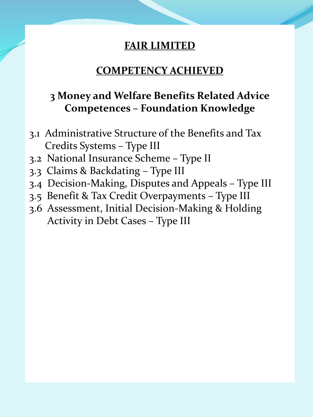### **COMPETENCY ACHIEVED**

# **3 Money and Welfare Benefits Related Advice Competences – Foundation Knowledge**

- 3.1 Administrative Structure of the Benefits and Tax Credits Systems – Type III
- 3.2 National Insurance Scheme Type II
- 3.3 Claims & Backdating Type III
- 3.4 Decision-Making, Disputes and Appeals Type III
- 3.5 Benefit & Tax Credit Overpayments Type III
- 3.6 Assessment, Initial Decision-Making & Holding Activity in Debt Cases – Type III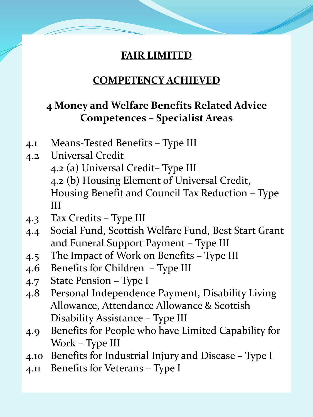# **COMPETENCY ACHIEVED**

# **4 Money and Welfare Benefits Related Advice Competences – Specialist Areas**

- 4.1 Means-Tested Benefits Type III
- 4.2 Universal Credit
	- 4.2 (a) Universal Credit– Type III 4.2 (b) Housing Element of Universal Credit, Housing Benefit and Council Tax Reduction – Type III
- 4.3 Tax Credits Type III
- 4.4 Social Fund, Scottish Welfare Fund, Best Start Grant and Funeral Support Payment – Type III
- 4.5 The Impact of Work on Benefits Type III
- 4.6 Benefits for Children Type III
- 4.7 State Pension Type I
- 4.8 Personal Independence Payment, Disability Living Allowance, Attendance Allowance & Scottish Disability Assistance – Type III
- 4.9 Benefits for People who have Limited Capability for Work – Type III
- 4.10 Benefits for Industrial Injury and Disease Type I
- 4.11 Benefits for Veterans Type I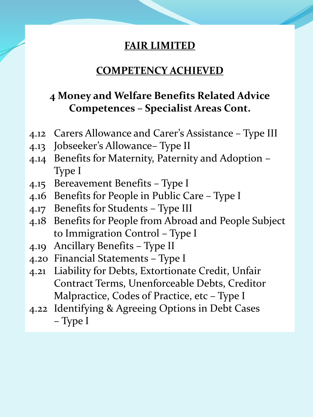### **COMPETENCY ACHIEVED**

# **4 Money and Welfare Benefits Related Advice Competences – Specialist Areas Cont.**

- 4.12 Carers Allowance and Carer's Assistance Type III
- 4.13 Jobseeker's Allowance– Type II
- 4.14 Benefits for Maternity, Paternity and Adoption Type I
- 4.15 Bereavement Benefits Type I
- 4.16 Benefits for People in Public Care Type I
- 4.17 Benefits for Students Type III
- 4.18 Benefits for People from Abroad and People Subject to Immigration Control – Type I
- 4.19 Ancillary Benefits Type II
- 4.20 Financial Statements Type I
- 4.21 Liability for Debts, Extortionate Credit, Unfair Contract Terms, Unenforceable Debts, Creditor Malpractice, Codes of Practice, etc – Type I
- 4.22 Identifying & Agreeing Options in Debt Cases – Type I